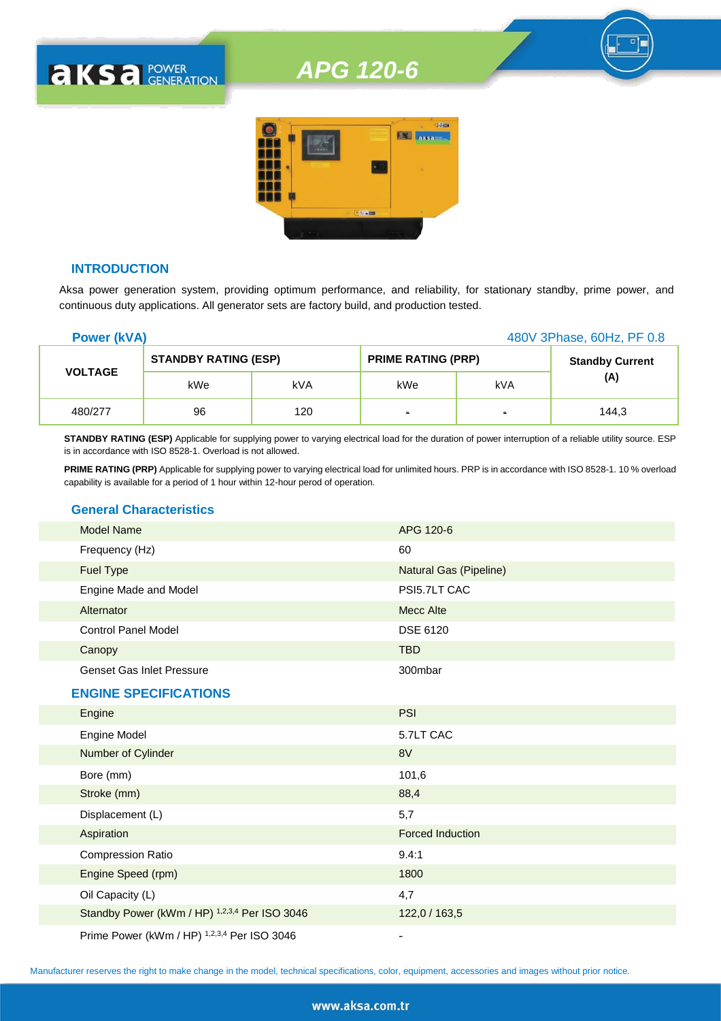

## **INTRODUCTION**

**AKSA POWER** 

Aksa power generation system, providing optimum performance, and reliability, for stationary standby, prime power, and continuous duty applications. All generator sets are factory build, and production tested.

| <b>Power (kVA)</b> |                             |     |                           | 480V 3Phase, 60Hz, PF 0.8 |                        |
|--------------------|-----------------------------|-----|---------------------------|---------------------------|------------------------|
| <b>VOLTAGE</b>     | <b>STANDBY RATING (ESP)</b> |     | <b>PRIME RATING (PRP)</b> |                           | <b>Standby Current</b> |
|                    | kWe                         | kVA | kWe                       | kVA                       | (A)                    |
| 480/277            | 96                          | 120 | $\blacksquare$            | $\blacksquare$            | 144.3                  |

**STANDBY RATING (ESP)** Applicable for supplying power to varying electrical load for the duration of power interruption of a reliable utility source. ESP is in accordance with ISO 8528-1. Overload is not allowed.

**PRIME RATING (PRP)** Applicable for supplying power to varying electrical load for unlimited hours. PRP is in accordance with ISO 8528-1. 10 % overload capability is available for a period of 1 hour within 12-hour perod of operation.

## **General Characteristics**

| Model Name                       | APG 120-6              |
|----------------------------------|------------------------|
| Frequency (Hz)                   | 60                     |
| Fuel Type                        | Natural Gas (Pipeline) |
| Engine Made and Model            | PSI5.7LT CAC           |
| Alternator                       | Mecc Alte              |
| <b>Control Panel Model</b>       | <b>DSE 6120</b>        |
| Canopy                           | <b>TBD</b>             |
| <b>Genset Gas Inlet Pressure</b> | 300mbar                |
| <b>ENGINE SPECIFICATIONS</b>     |                        |
| Engine                           | <b>PSI</b>             |
|                                  |                        |

| <b>Engine Model</b>                           | 5.7LT CAC               |
|-----------------------------------------------|-------------------------|
| Number of Cylinder                            | 8V                      |
| Bore (mm)                                     | 101,6                   |
| Stroke (mm)                                   | 88,4                    |
| Displacement (L)                              | 5,7                     |
| Aspiration                                    | <b>Forced Induction</b> |
| <b>Compression Ratio</b>                      | 9.4:1                   |
| Engine Speed (rpm)                            | 1800                    |
| Oil Capacity (L)                              | 4,7                     |
| Standby Power (kWm / HP) 1,2,3,4 Per ISO 3046 | 122,0 / 163,5           |
| Prime Power (kWm / HP) 1,2,3,4 Per ISO 3046   |                         |

Manufacturer reserves the right to make change in the model, technical specifications, color, equipment, accessories and images without prior notice.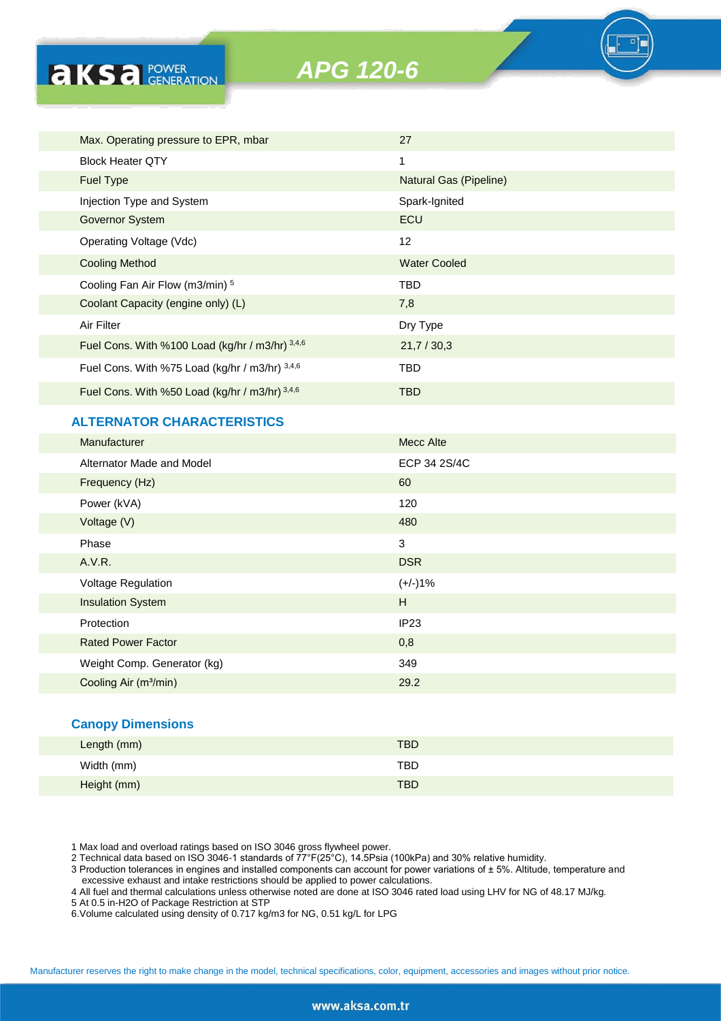

| Max. Operating pressure to EPR, mbar            | 27                     |
|-------------------------------------------------|------------------------|
| <b>Block Heater OTY</b>                         | 1                      |
| <b>Fuel Type</b>                                | Natural Gas (Pipeline) |
| Injection Type and System                       | Spark-Ignited          |
| <b>Governor System</b>                          | ECU                    |
| Operating Voltage (Vdc)                         | 12                     |
| <b>Cooling Method</b>                           | <b>Water Cooled</b>    |
| Cooling Fan Air Flow (m3/min) 5                 | TBD                    |
| Coolant Capacity (engine only) (L)              | 7,8                    |
| Air Filter                                      | Dry Type               |
| Fuel Cons. With %100 Load (kg/hr / m3/hr) 3,4,6 | 21,7/30,3              |
| Fuel Cons. With %75 Load (kg/hr / m3/hr) 3,4,6  | TBD                    |
| Fuel Cons. With %50 Load (kg/hr / m3/hr) 3,4,6  | TBD                    |
|                                                 |                        |

# **ALTERNATOR CHARACTERISTICS**

**AKSA POWER** 

| Manufacturer                      | Mecc Alte    |
|-----------------------------------|--------------|
| Alternator Made and Model         | ECP 34 2S/4C |
| Frequency (Hz)                    | 60           |
| Power (kVA)                       | 120          |
| Voltage (V)                       | 480          |
| Phase                             | 3            |
| A.V.R.                            | <b>DSR</b>   |
| Voltage Regulation                | $(+/-)1%$    |
| <b>Insulation System</b>          | H            |
| Protection                        | IP23         |
| <b>Rated Power Factor</b>         | 0,8          |
| Weight Comp. Generator (kg)       | 349          |
| Cooling Air (m <sup>3</sup> /min) | 29.2         |
|                                   |              |

#### **Canopy Dimensions**

| Length (mm) | <b>TBD</b> |  |
|-------------|------------|--|
| Width (mm)  | TBD        |  |
| Height (mm) | <b>TBD</b> |  |

1 Max load and overload ratings based on ISO 3046 gross flywheel power.

2 Technical data based on ISO 3046-1 standards of 77°F(25°C), 14.5Psia (100kPa) and 30% relative humidity.

3 Production tolerances in engines and installed components can account for power variations of ± 5%. Altitude, temperature and excessive exhaust and intake restrictions should be applied to power calculations.

4 All fuel and thermal calculations unless otherwise noted are done at ISO 3046 rated load using LHV for NG of 48.17 MJ/kg.

5 At 0.5 in-H2O of Package Restriction at STP

6.Volume calculated using density of 0.717 kg/m3 for NG, 0.51 kg/L for LPG

Manufacturer reserves the right to make change in the model, technical specifications, color, equipment, accessories and images without prior notice.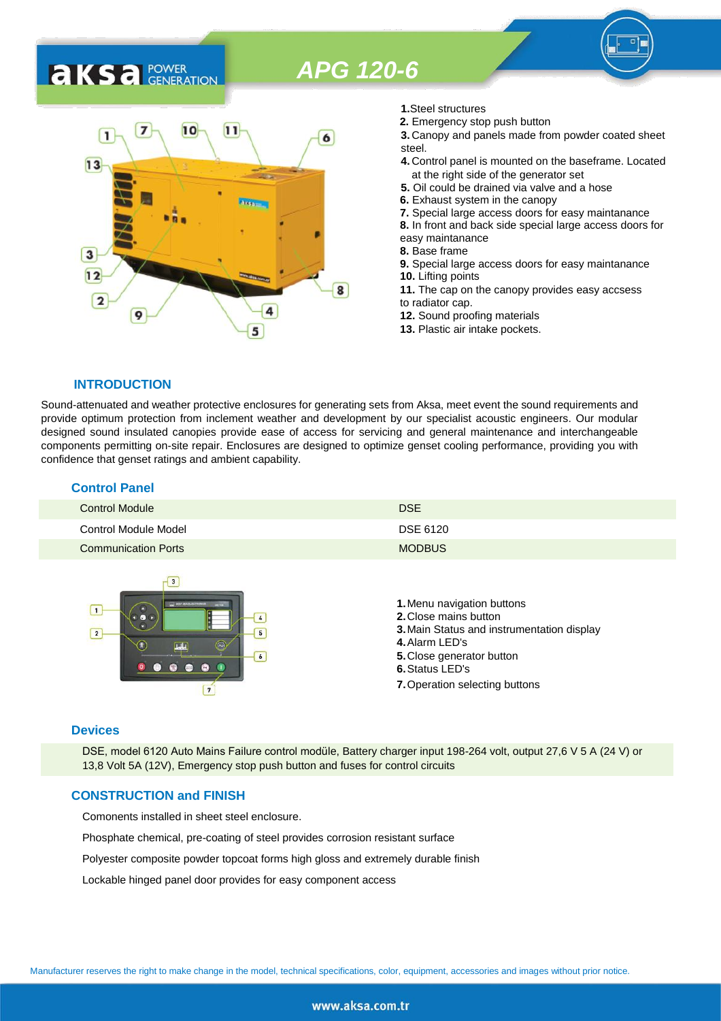# **AKSA** POWER



- **1.**Steel structures
- **2.** Emergency stop push button
- **3.** Canopy and panels made from powder coated sheet steel.
- **4.** Control panel is mounted on the baseframe. Located at the right side of the generator set
- **5.** Oil could be drained via valve and a hose
- **6.** Exhaust system in the canopy
- **7.** Special large access doors for easy maintanance
- **8.** In front and back side special large access doors for
- easy maintanance
- **8.** Base frame
- **9.** Special large access doors for easy maintanance **10.** Lifting points **11.** The cap on the canopy provides easy accsess
- to radiator cap.
- **12.** Sound proofing materials
- **13.** Plastic air intake pockets.

#### **INTRODUCTION**

Sound-attenuated and weather protective enclosures for generating sets from Aksa, meet event the sound requirements and provide optimum protection from inclement weather and development by our specialist acoustic engineers. Our modular designed sound insulated canopies provide ease of access for servicing and general maintenance and interchangeable components permitting on-site repair. Enclosures are designed to optimize genset cooling performance, providing you with confidence that genset ratings and ambient capability.

| <b>Control Panel</b>       |               |
|----------------------------|---------------|
| <b>Control Module</b>      | <b>DSE</b>    |
| Control Module Model       | DSE 6120      |
| <b>Communication Ports</b> | <b>MODBUS</b> |



#### **Devices**

DSE, model 6120 Auto Mains Failure control modüle, Battery charger input 198-264 volt, output 27,6 V 5 A (24 V) or 13,8 Volt 5A (12V), Emergency stop push button and fuses for control circuits

#### **CONSTRUCTION and FINISH**

Comonents installed in sheet steel enclosure.

Phosphate chemical, pre-coating of steel provides corrosion resistant surface

Polyester composite powder topcoat forms high gloss and extremely durable finish

Lockable hinged panel door provides for easy component access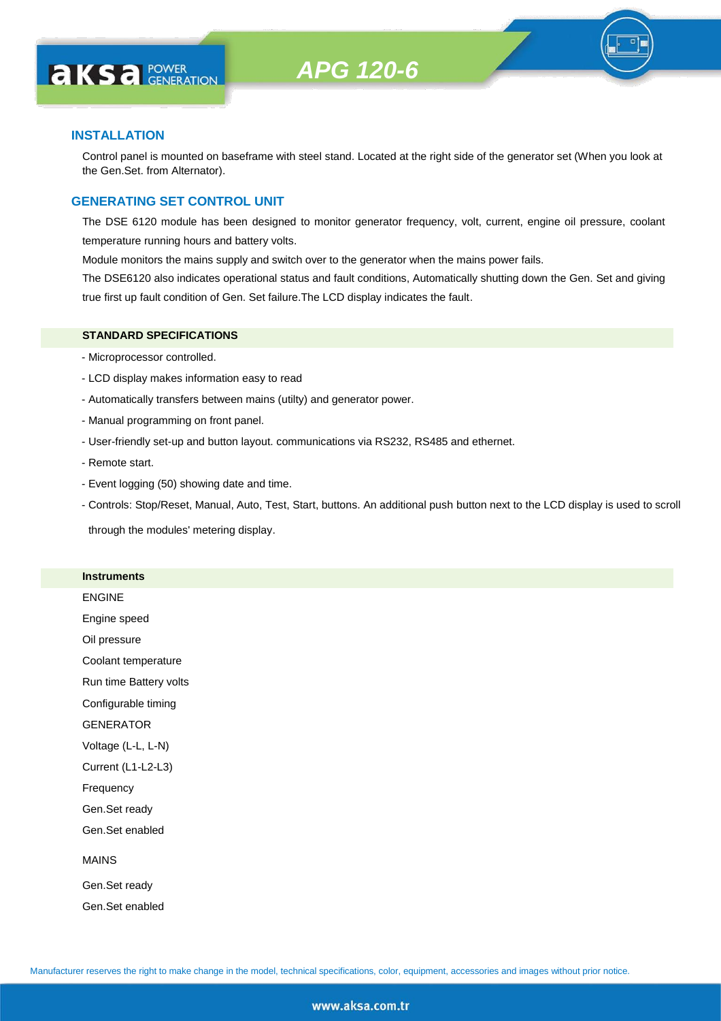

## **INSTALLATION**

**AKS** *C C <b>C GENERATION* 

Control panel is mounted on baseframe with steel stand. Located at the right side of the generator set (When you look at the Gen.Set. from Alternator).

## **GENERATING SET CONTROL UNIT**

The DSE 6120 module has been designed to monitor generator frequency, volt, current, engine oil pressure, coolant temperature running hours and battery volts.

Module monitors the mains supply and switch over to the generator when the mains power fails.

The DSE6120 also indicates operational status and fault conditions, Automatically shutting down the Gen. Set and giving true first up fault condition of Gen. Set failure.The LCD display indicates the fault.

#### **STANDARD SPECIFICATIONS**

- Microprocessor controlled.
- LCD display makes information easy to read
- Automatically transfers between mains (utilty) and generator power.
- Manual programming on front panel.
- User-friendly set-up and button layout. communications via RS232, RS485 and ethernet.
- Remote start.
- Event logging (50) showing date and time.
- Controls: Stop/Reset, Manual, Auto, Test, Start, buttons. An additional push button next to the LCD display is used to scroll

through the modules' metering display.

#### **Instruments**

ENGINE

Engine speed

Oil pressure

Coolant temperature

Run time Battery volts

Configurable timing

GENERATOR

Voltage (L-L, L-N)

Current (L1-L2-L3)

Frequency

Gen.Set ready

Gen.Set enabled

#### MAINS

Gen.Set ready Gen.Set enabled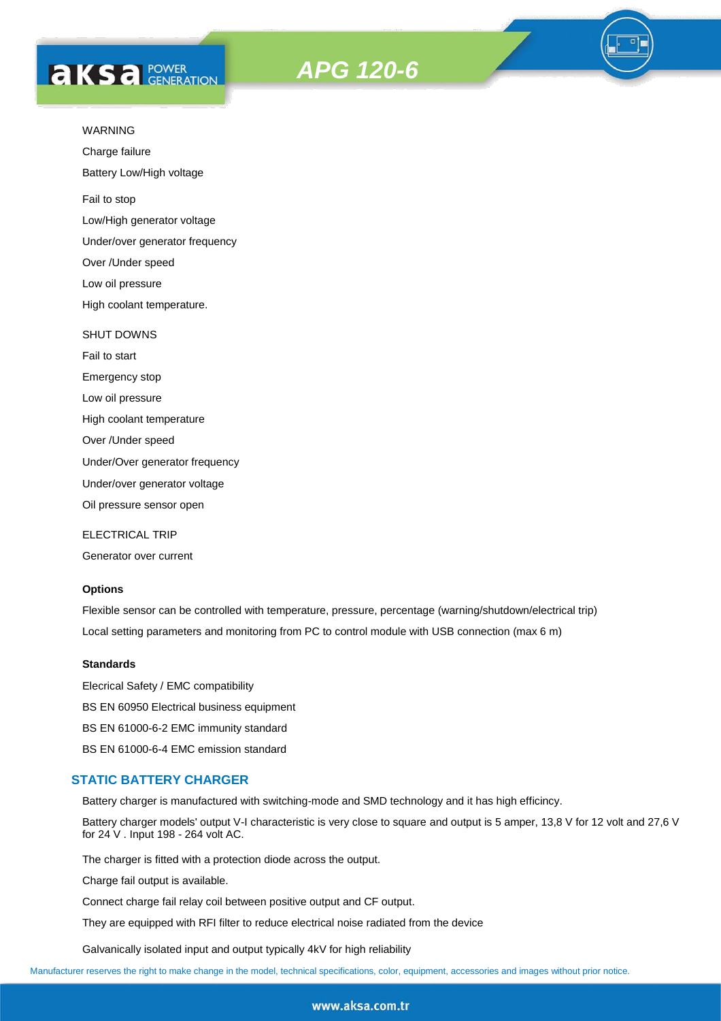# **AKS** *C C <b>C GENERATION*





Charge failure

Battery Low/High voltage

Fail to stop

Low/High generator voltage

Under/over generator frequency

Over /Under speed

Low oil pressure

High coolant temperature.

#### SHUT DOWNS

Fail to start Emergency stop Low oil pressure High coolant temperature Over /Under speed Under/Over generator frequency Under/over generator voltage

Oil pressure sensor open

ELECTRICAL TRIP

Generator over current

## **Options**

Flexible sensor can be controlled with temperature, pressure, percentage (warning/shutdown/electrical trip) Local setting parameters and monitoring from PC to control module with USB connection (max 6 m)

#### **Standards**

Elecrical Safety / EMC compatibility BS EN 60950 Electrical business equipment BS EN 61000-6-2 EMC immunity standard BS EN 61000-6-4 EMC emission standard

#### **STATIC BATTERY CHARGER**

Battery charger is manufactured with switching-mode and SMD technology and it has high efficincy.

Battery charger models' output V-I characteristic is very close to square and output is 5 amper, 13,8 V for 12 volt and 27,6 V for 24 V . Input 198 - 264 volt AC.

The charger is fitted with a protection diode across the output.

Charge fail output is available.

Connect charge fail relay coil between positive output and CF output.

They are equipped with RFI filter to reduce electrical noise radiated from the device

Galvanically isolated input and output typically 4kV for high reliability

Manufacturer reserves the right to make change in the model, technical specifications, color, equipment, accessories and images without prior notice.

#### www.aksa.com.tr